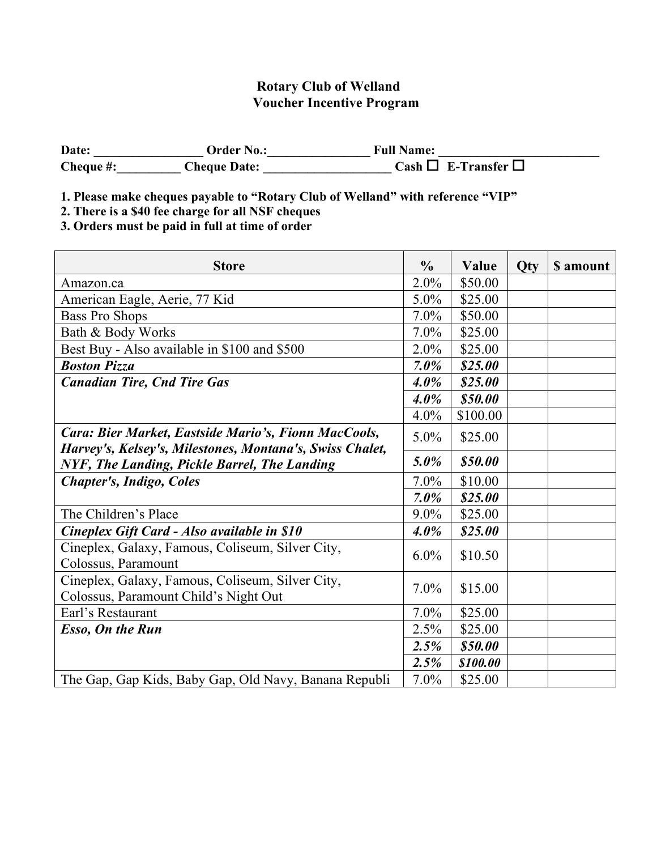## **Rotary Club of Welland Voucher Incentive Program**

| Date:     | Order No.:          | <b>Full Name:</b>             |
|-----------|---------------------|-------------------------------|
| Cheque #: | <b>Cheque Date:</b> | Cash $\Box$ E-Transfer $\Box$ |

**1. Please make cheques payable to "Rotary Club of Welland" with reference "VIP"**

**2. There is a \$40 fee charge for all NSF cheques**

**3. Orders must be paid in full at time of order**

| <b>Store</b>                                                                                                     |         | Value    | <b>Qty</b> | \$ amount |
|------------------------------------------------------------------------------------------------------------------|---------|----------|------------|-----------|
| Amazon.ca                                                                                                        |         | \$50.00  |            |           |
| American Eagle, Aerie, 77 Kid                                                                                    |         | \$25.00  |            |           |
| <b>Bass Pro Shops</b>                                                                                            | 7.0%    | \$50.00  |            |           |
| Bath & Body Works                                                                                                | 7.0%    | \$25.00  |            |           |
| Best Buy - Also available in \$100 and \$500                                                                     | $2.0\%$ | \$25.00  |            |           |
| <b>Boston Pizza</b>                                                                                              | $7.0\%$ | \$25.00  |            |           |
| <b>Canadian Tire, Cnd Tire Gas</b>                                                                               | $4.0\%$ | \$25.00  |            |           |
|                                                                                                                  | $4.0\%$ | \$50.00  |            |           |
|                                                                                                                  | 4.0%    | \$100.00 |            |           |
| Cara: Bier Market, Eastside Mario's, Fionn MacCools,<br>Harvey's, Kelsey's, Milestones, Montana's, Swiss Chalet, | $5.0\%$ | \$25.00  |            |           |
| NYF, The Landing, Pickle Barrel, The Landing                                                                     |         | \$50.00  |            |           |
| <b>Chapter's, Indigo, Coles</b>                                                                                  | 7.0%    | \$10.00  |            |           |
|                                                                                                                  | $7.0\%$ | \$25.00  |            |           |
| The Children's Place                                                                                             | $9.0\%$ | \$25.00  |            |           |
| Cineplex Gift Card - Also available in \$10                                                                      |         | \$25.00  |            |           |
| Cineplex, Galaxy, Famous, Coliseum, Silver City,<br>Colossus, Paramount                                          | $6.0\%$ | \$10.50  |            |           |
| Cineplex, Galaxy, Famous, Coliseum, Silver City,<br>Colossus, Paramount Child's Night Out                        | 7.0%    | \$15.00  |            |           |
| Earl's Restaurant                                                                                                | 7.0%    | \$25.00  |            |           |
| <b>Esso, On the Run</b>                                                                                          |         | \$25.00  |            |           |
|                                                                                                                  | 2.5%    | \$50.00  |            |           |
|                                                                                                                  | 2.5%    | \$100.00 |            |           |
| The Gap, Gap Kids, Baby Gap, Old Navy, Banana Republi                                                            | 7.0%    | \$25.00  |            |           |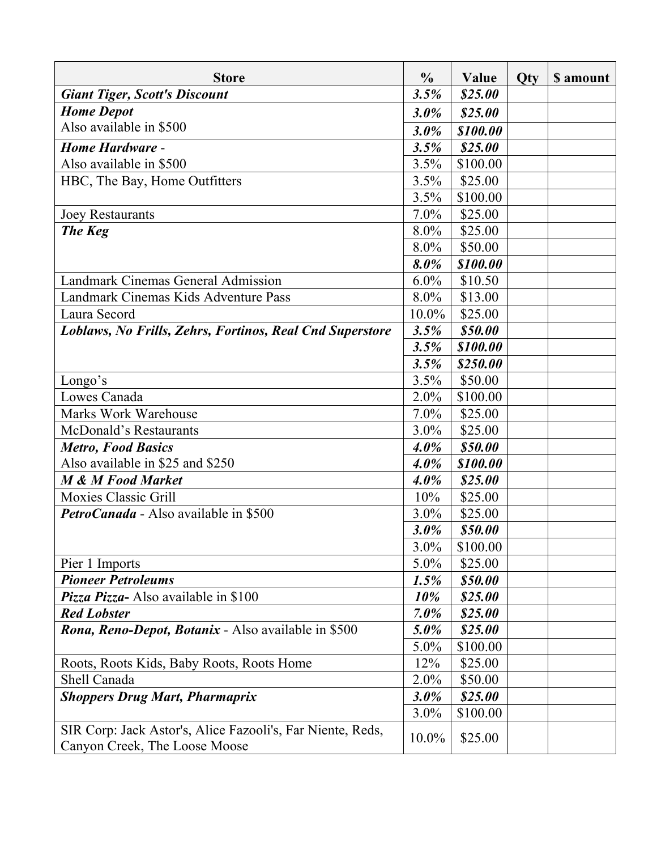| <b>Store</b>                                               |              | Value    | <b>Qty</b> | \$ amount |
|------------------------------------------------------------|--------------|----------|------------|-----------|
| <b>Giant Tiger, Scott's Discount</b>                       |              | \$25.00  |            |           |
| <b>Home Depot</b>                                          | 3.0%         | \$25.00  |            |           |
| Also available in \$500                                    |              | \$100.00 |            |           |
| <b>Home Hardware -</b>                                     | 3.0%<br>3.5% | \$25.00  |            |           |
| Also available in \$500                                    | 3.5%         | \$100.00 |            |           |
| HBC, The Bay, Home Outfitters                              | 3.5%         | \$25.00  |            |           |
|                                                            | 3.5%         | \$100.00 |            |           |
| <b>Joey Restaurants</b>                                    | $7.0\%$      | \$25.00  |            |           |
| <b>The Keg</b>                                             | $8.0\%$      | \$25.00  |            |           |
|                                                            | 8.0%         | \$50.00  |            |           |
|                                                            | 8.0%         | \$100.00 |            |           |
| Landmark Cinemas General Admission                         | $6.0\%$      | \$10.50  |            |           |
| Landmark Cinemas Kids Adventure Pass                       | $8.0\%$      | \$13.00  |            |           |
| Laura Secord                                               | 10.0%        | \$25.00  |            |           |
| Loblaws, No Frills, Zehrs, Fortinos, Real Cnd Superstore   | 3.5%         | \$50.00  |            |           |
|                                                            | 3.5%         | \$100.00 |            |           |
|                                                            | 3.5%         | \$250.00 |            |           |
| Longo's                                                    | 3.5%         | \$50.00  |            |           |
| Lowes Canada                                               | 2.0%         | \$100.00 |            |           |
| <b>Marks Work Warehouse</b>                                | $7.0\%$      | \$25.00  |            |           |
| McDonald's Restaurants                                     | $3.0\%$      | \$25.00  |            |           |
| <b>Metro, Food Basics</b>                                  | $4.0\%$      | \$50.00  |            |           |
| Also available in \$25 and \$250                           | $4.0\%$      | \$100.00 |            |           |
| <b>M &amp; M Food Market</b>                               | $4.0\%$      | \$25.00  |            |           |
| <b>Moxies Classic Grill</b>                                | 10%          | \$25.00  |            |           |
| PetroCanada - Also available in \$500                      | $3.0\%$      | \$25.00  |            |           |
|                                                            | $3.0\%$      | \$50.00  |            |           |
|                                                            | 3.0%         | \$100.00 |            |           |
| Pier 1 Imports                                             |              | \$25.00  |            |           |
| <b>Pioneer Petroleums</b>                                  | 1.5%         | \$50.00  |            |           |
| <b>Pizza Pizza-</b> Also available in \$100                | 10%          | \$25.00  |            |           |
| <b>Red Lobster</b>                                         |              | \$25.00  |            |           |
| <b>Rona, Reno-Depot, Botanix</b> - Also available in \$500 |              | \$25.00  |            |           |
|                                                            | 5.0%         | \$100.00 |            |           |
| Roots, Roots Kids, Baby Roots, Roots Home                  | 12%          | \$25.00  |            |           |
| Shell Canada                                               |              | \$50.00  |            |           |
| <b>Shoppers Drug Mart, Pharmaprix</b>                      |              | \$25.00  |            |           |
|                                                            | $3.0\%$      | \$100.00 |            |           |
| SIR Corp: Jack Astor's, Alice Fazooli's, Far Niente, Reds, | 10.0%        | \$25.00  |            |           |
| Canyon Creek, The Loose Moose                              |              |          |            |           |